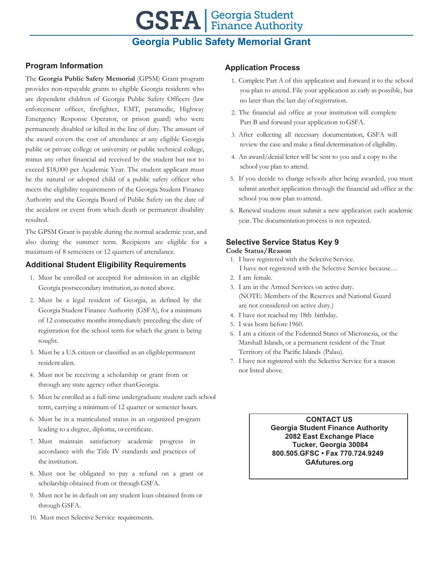# **GSFA Georgia Student**

# **Georgia Public Safety Memorial Grant**

#### **Program Information**

The **Georgia Public Safety Memorial** (GPSM) Grant program provides non-repayable grants to eligible Georgia residents who are dependent children of Georgia Public Safety Officers (law enforcement officer, firefighter, EMT, paramedic, Highway Emergency Response Operator, or prison guard) who were permanently disabled or killed in the line of duty. The amount of the award covers the cost of attendance at any eligible Georgia public or private college or university or public technical college, minus any other financial aid received by the student but not to exceed \$18,000 per Academic Year. The student applicant must be the natural or adopted child of a public safety officer who meets the eligibility requirements of the Georgia Student Finance Authority and the Georgia Board of Public Safety on the date of the accident or event from which death or permanent disability resulted.

The GPSM Grant is payable during the normal academic year, and also during the summer term. Recipients are eligible for a maximum of 8 semesters or 12 quarters of attendance.

#### **Additional Student Eligibility Requirements**

- 1. Must be enrolled or accepted for admission in an eligible Georgia postsecondary institution, as noted above.
- 2. Must be a legal resident of Georgia, as defined by the Georgia Student Finance Authority (GSFA), for a minimum of 12 consecutive months immediately preceding the date of registration for the school term for which the grant is being sought.
- 3. Must be a U.S. citizen or classified as an eligiblepermanent resident alien.
- 4. Must not be receiving a scholarship or grant from or through any state agency other thanGeorgia.
- 5. Must be enrolled as a full-time undergraduate student each school term, carrying a minimum of 12 quarter or semester hours.
- 6. Must be in a matriculated status in an organized program leading to a degree, diploma, or certificate.
- 7. Must maintain satisfactory academic progress in accordance with the Title IV standards and practices of the institution.
- 8. Must not be obligated to pay a refund on a grant or scholarship obtained from or through GSFA.
- 9. Must not be in default on any student loan obtained from or through GSFA.
- 10. Must meet Selective Service requirements.

#### **Application Process**

- 1. Complete Part A of this application and forward it to the school you plan to attend. File your application as early as possible, but no later than the last day ofregistration.
- 2. The financial aid office at your institution will complete Part B and forward your application toGSFA.
- 3. After collecting all necessary documentation, GSFA will review the case and make a final determination of eligibility.
- 4. An award/denial letter will be sent to you and a copy to the school you plan to attend.
- 5. If you decide to change schools after being awarded, you must submit another application through the financial aid office at the school you now plan toattend.
- 6. Renewal students must submit a new application each academic year. The documentation process is not repeated.

### **Selective Service Status Key 9**

#### **Code Status/Reason**

- 1. I have registered with the Selective Service. I have not registered with the Selective Service because…
- 2. I am female.
- 3. I am in the Armed Services on active duty. (NOTE: Members of the Reserves and National Guard are not considered on active duty.)
- 4. I have not reached my 18th birthday.
- 5. I was born before 1960.
- 6. I am a citizen of the Federated States of Micronesia, or the Marshall Islands, or a permanent resident of the Trust Territory of the Pacific Islands (Palau).
- 7. I have not registered with the Selective Service for a reason not listed above.

**CONTACT US Georgia Student Finance Authority 2082 East Exchange Place Tucker, Georgia 30084 800.505.GFSC • Fax 770.724.9249 GAfutures.org**